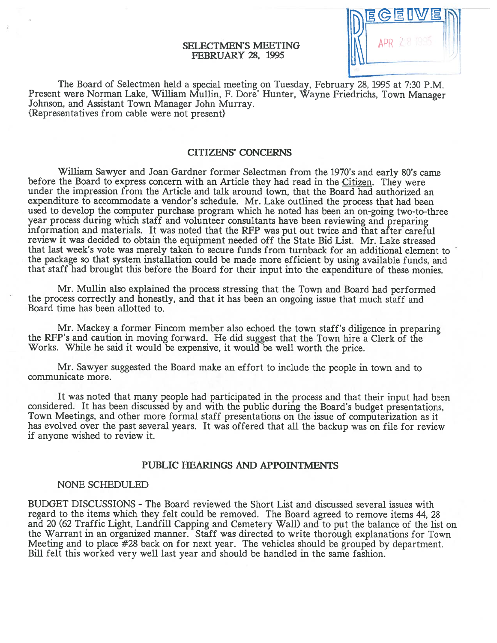## SELECTMEN'S MEETING FEBRUARY 28, 1995

The Board of Selectmen held <sup>a</sup> special meeting on Tuesday, February 28, 1995 at 7:30 P.M. Present were Norman Lake, William Mullin, F. Dore' Hunter, Wayne Friedrichs, Town Manager Johnson, and Assistant Town Manager John Murray. {Representatives from cable were not present}

## CITIZENS' CONCERNS

William Sawyer and Joan Gardner former Selectmen from the 1970's and early 80's came before the Board to express concern with an Article they had read in the Citizen. They were under the impression from the Article and talk around town, that the Board had authorized an expenditure to accommodate a vendor's schedule. Mr. Lake outlined the process that had been used to develop the computer purchase program which he noted has been an on-going two-to-three year process during which staff and volunteer consultants have been reviewing and preparing mformation and materials. It was noted that the RFP was pu<sup>t</sup> out twice and that after careful review it was decided to obtain the equipment needed off the State Bid List. Mr. Lake stressed that last week's vote was merely taken to secure funds from turnback for an additional element to the package so that system installation could be made more efficient by using available funds, and that staff had brought this before the Board for their input into the expenditure of these monies.

Mr. Mullin also explained the process stressing that the Town and Board had performed the process correctly and honestly, and that it has been an ongoing issue that much staff and Board time has been allotted to.

Mr. Mackey <sup>a</sup> former Fincom member also echoed the town staff's diligence in preparing the RFP's and caution in moving forward. He did sugges<sup>t</sup> that the Town hire <sup>a</sup> Clerk of the Works. While he said it would be expensive, it would be well worth the price.

Mr. Sawyer suggested the Board make an effort to include the people in town and to communicate more.

It was noted that many people had participated in the process and that their input had been considered. It has been discussed by and with the public during the Board's budget presentations, Town Meetings, and other more formal staff presentations on the issue of computerization as it has evolved over the pas<sup>t</sup> several years. It was offered that all the backup was on file for review if anyone wished to review it.

## PUBLIC HEARINGS AND APPOINTMENTS

#### NONE SCHEDULED

BUDGET DISCUSSIONS -The Board reviewed the Short List and discussed several issues with regard to the items which they felt could be removed. The Board agreed to remove items 44, 28 and 20 (62 Traffic Light, Landfill Capping and Cemetery Wall) and to pu<sup>t</sup> the balance of the list on the Warrant in an organized manner. Staff was directed to write thorough explanations for Town Meeting and to <sup>p</sup>lace #28 back on for next year. The vehicles should be grouped by department. Bill felt this worked very well last year and should be handled in the same fashion.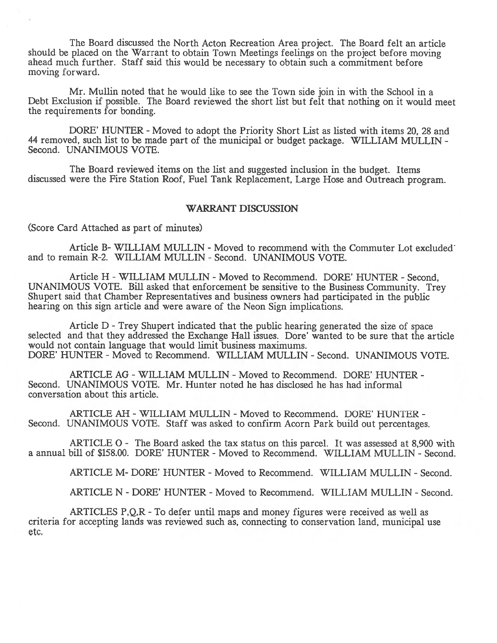The Board discussed the North Acton Recreation Area project. The Board felt an article should be <sup>p</sup>laced on the Warrant to obtain Town Meetings feelings on the project before moving ahead much further. Staff said this would be necessary to obtain such <sup>a</sup> commitment before moving forward.

Mr. Mullin noted that he would like to see the Town side join in with the School in <sup>a</sup> Debt Exclusion if possible. The Board reviewed the short list but felt that nothing on it would meet the requirements for bonding.

DORE' HUNTER - Moved to adopt the Priority Short List as listed with items 20, 28 and 44 removed, such list to be made par<sup>t</sup> of the municipal or budget package. WILLIAM MULLIN - Second. UNANIMOUS VOTE.

The Board reviewed items on the list and suggested inclusion in the budget. Items discussed were the Fire Station Roof, Fuel Tank Replacement, Large Hose and Outreach program.

## WARRANT DISCUSSION

(Score Card Attached as par<sup>t</sup> of minutes)

Article B- WILLIAM MULLIN - Moved to recommend with the Commuter Lot excluded and to remain R-2. WILLIAM MULLIN -Second. UNANIMOUS VOTE.

Article H - WILLIAM MULLIN - Moved to Recommend. DORE' HUNTER - Second, UNANIMOUS VOTE. Bill asked that enforcement be sensitive to the Business Community. Trey Shupert said that Chamber Representatives and business owners had participated in the public hearing on this sign article and were aware of the Neon Sign implications.

Article <sup>D</sup> -Trey Shupert indicated that the public hearing generated the size of space selected and that they addressed the Exchange Hall issues. Dore' wanted to be sure that the article would not contain language that would limit business maximums. DORE' HUNTER - Moved to Recommend. WILLIAM MULLIN - Second. UNANIMOUS VOTE.

ARTICLE AG - WILLIAM MULLIN - Moved to Recommend. DORE' HUNTER -Second. UNANIMOUS VOTE. Mr. Hunter noted he has disclosed he has had informal conversation about this article.

ARTICLE AH - WILLIAM MULLIN - Moved to Recommend. DORE' HUNTER -Second. UNANIMOUS VOTE. Staff was asked to confirm Acorn Park build out percentages.

ARTICLE 0 - The Board asked the tax status on this parcel. It was assessed at 8,900 with a annual bill of \$158.00. DORE' HUNTER - Moved to Recommend. WILLIAM MULLIN - Second.

ARTICLE M- DORE' HUNTER - Moved to Recommend. WILLIAM MULLIN - Second.

ARTICLE N - DORE' HUNTER - Moved to Recommend. WILLIAM MULLIN - Second.

ARTICLES P, Q, R - To defer until maps and money figures were received as well as criteria for accepting lands was reviewed such as, connecting to conservation land, municipal use etc.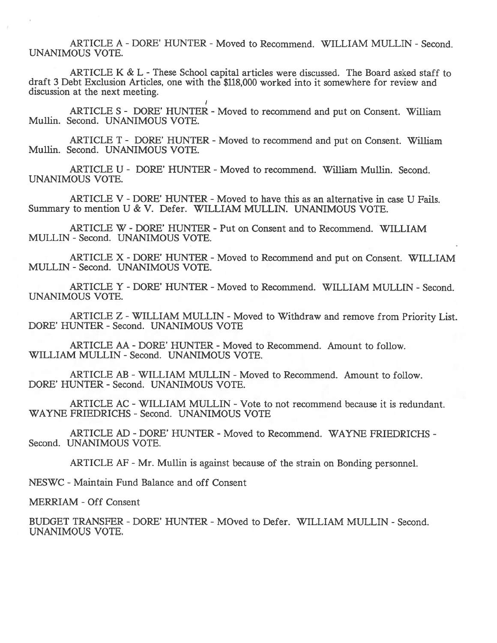ARTICLE A - DORE' HUNTER - Moved to Recommend. WILLIAM MULLIN - Second. UNANIMOUS VOTE.

ARTICLE K & L - These School capital articles were discussed. The Board asked staff to draft 3 Debt Exclusion Articles, one with the \$118,000 worked into it somewhere for review and discussion at the next meeting.

ARTICLE S - DORE' HUNTER - Moved to recommend and put on Consent. William Mullin. Second. UNANIMOUS VOTE.

ARTICLE T - DORE' HUNTER - Moved to recommend and put on Consent. William Mullin. Second. UNANIMOUS VOTE.

ARTICLE U - DORE' HUNTER - Moved to recommend. William Mullin. Second. UNANIMOUS VOTE.

ARTICLE V - DORE' HUNTER - Moved to have this as an alternative in case U Fails. Summary to mention U & V. Defer. WILLIAM MULLIN. UNANIMOUS VOTE.

ARTICLE W - DORE' HUNTER - Put on Consent and to Recommend. WILLIAM MULLIN -Second. UNANIMOUS VOTE.

ARTICLE X - DORE' HUNTER - Moved to Recommend and put on Consent. WILLIAM MULLIN -Second. UNANIMOUS VOTE.

ARTICLE Y - DORE' HUNTER - Moved to Recommend. WILLIAM MULLIN - Second. UNANIMOUS VOTE.

ARTICLE Z - WILLIAM MULLIN - Moved to Withdraw and remove from Priority List. DORE' HUNTER - Second. UNANIMOUS VOTE

ARTICLE AA - DORE' HUNTER - Moved to Recommend. Amount to follow. WILLIAM MULLIN - Second. UNANIMOUS VOTE.

ARTICLE AB - WILLIAM MULLIN - Moved to Recommend. Amount to follow. DORE' HUNTER - Second. UNANIMOUS VOTE.

ARTICLE AC - WILLIAM MULLIN - Vote to not recommend because it is redundant. WAYNE FRIEDRICHS - Second. UNANIMOUS VOTE

ARTICLE AD -DORE' HUNTER - Moved to Recommend. WAYNE FRIEDRICHS - Second. UNANIMOUS VOTE.

ARTICLE AF - Mr. Mullin is against because of the strain on Bonding personnel.

NESWC - Maintain Fund Balance and off Consent

MERRIAM - Off Consent

BUDGET TRANSFER - DORE' HUNTER - MOved to Defer. WILLIAM MULLIN - Second. UNANIMOUS VOTE.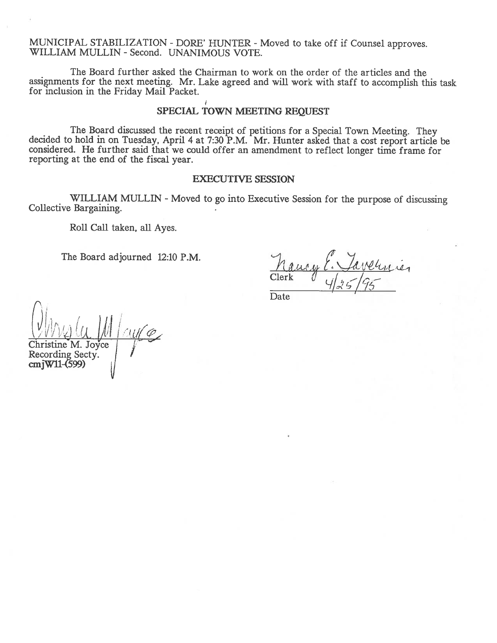MUNICIPAL STABILIZATION - DORE' HUNTER - Moved to take off if Counsel approves. WILLIAM MULLIN -Second. UNANIMOUS VOTE.

The Board further asked the Chairman to work on the order of the articles and the assignments for the next meeting. Mr. Lake agree<sup>d</sup> and will work with staff to accomplish this task for inclusion in the Friday Mail Packet.

## SPECIAL TOWN MEETING REQUEST

The Board discussed the recent receipt of petitions for a Special Town Meeting. They decided to hold in on Tuesday, April 4 at 7:30 P.M. Mr. Hunter asked that a cost report article be considered. He further said that we co reporting at the end of the fiscal year.

## EXECUTIVE SESSION

WILLIAM MULLIN - Moved to go into Executive Session for the purpose of discussing Collective Bargaining.

Roll Call taken, all Ayes.

The Board adjourned 12:10 P.M.

 $M$ Clerk  $\int_{1.6}^{1.6} f(x) dx$ 

Date

 $\|$ i $\kappa$  . ( 11  $U$  M culc ne M. Joyce Recording Secty. crnjWll-(599)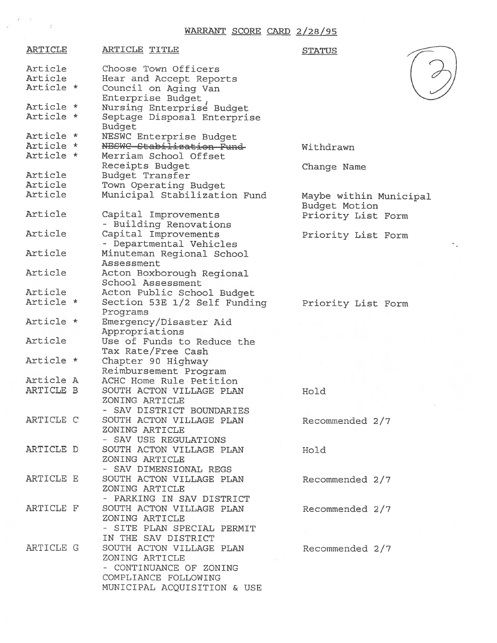## WARRANT SCORE CARD 2/28/95

 $\mathbb{Z}^{\mathbb{Z}^2\times \mathbb{Z}}$  . <br> <br> . <br> <br> E

| <b>ARTICLE</b> | <b>ARTICLE TITLE</b>         | <b>STATUS</b>                           |
|----------------|------------------------------|-----------------------------------------|
| Article        | Choose Town Officers         |                                         |
| Article        | Hear and Accept Reports      |                                         |
| Article *      | Council on Aging Van         |                                         |
|                | Enterprise Budget            |                                         |
| Article *      | Nursing Enterprise Budget    |                                         |
| Article *      | Septage Disposal Enterprise  |                                         |
|                | Budget                       |                                         |
| Article *      |                              |                                         |
| Article *      | NESWC Enterprise Budget      |                                         |
|                | NESWC Stabilization Fund     | Withdrawn                               |
| Article *      | Merriam School Offset        |                                         |
|                | Receipts Budget              | Change Name                             |
| Article        | Budget Transfer              |                                         |
| Article        | Town Operating Budget        |                                         |
| Article        | Municipal Stabilization Fund | Maybe within Municipal<br>Budget Motion |
| Article        | Capital Improvements         | Priority List Form                      |
|                | - Building Renovations       |                                         |
| Article        | Capital Improvements         |                                         |
|                |                              | Priority List Form                      |
| Article        | - Departmental Vehicles      |                                         |
|                | Minuteman Regional School    |                                         |
|                | Assessment                   |                                         |
| Article        | Acton Boxborough Regional    |                                         |
|                | School Assessment            |                                         |
| Article        | Acton Public School Budget   |                                         |
| Article *      | Section 53E 1/2 Self Funding | Priority List Form                      |
|                | Programs                     |                                         |
| Article *      | Emergency/Disaster Aid       |                                         |
|                | Appropriations               |                                         |
| Article        | Use of Funds to Reduce the   |                                         |
|                | Tax Rate/Free Cash           |                                         |
| Article *      | Chapter 90 Highway           |                                         |
|                | Reimbursement Program        |                                         |
| Article A      | ACHC Home Rule Petition      |                                         |
| ARTICLE B      | SOUTH ACTON VILLAGE PLAN     | Hold                                    |
|                | ZONING ARTICLE               |                                         |
|                | - SAV DISTRICT BOUNDARIES    |                                         |
| ARTICLE C      | SOUTH ACTON VILLAGE PLAN     | Recommended 2/7                         |
|                | ZONING ARTICLE               |                                         |
|                | - SAV USE REGULATIONS        |                                         |
| ARTICLE D      | SOUTH ACTON VILLAGE PLAN     | Hold                                    |
|                | ZONING ARTICLE               |                                         |
|                |                              |                                         |
|                | - SAV DIMENSIONAL REGS       |                                         |
| ARTICLE E      | SOUTH ACTON VILLAGE PLAN     | Recommended 2/7                         |
|                | ZONING ARTICLE               |                                         |
|                | - PARKING IN SAV DISTRICT    |                                         |
| ARTICLE F      | SOUTH ACTON VILLAGE PLAN     | Recommended 2/7                         |
|                | ZONING ARTICLE               |                                         |
|                | - SITE PLAN SPECIAL PERMIT   |                                         |
|                | IN THE SAV DISTRICT          |                                         |
| ARTICLE G      | SOUTH ACTON VILLAGE PLAN     | Recommended 2/7                         |
|                | ZONING ARTICLE               |                                         |
|                | - CONTINUANCE OF ZONING      |                                         |
|                | COMPLIANCE FOLLOWING         |                                         |
|                | MUNICIPAL ACQUISITION & USE  |                                         |
|                |                              |                                         |

J

÷.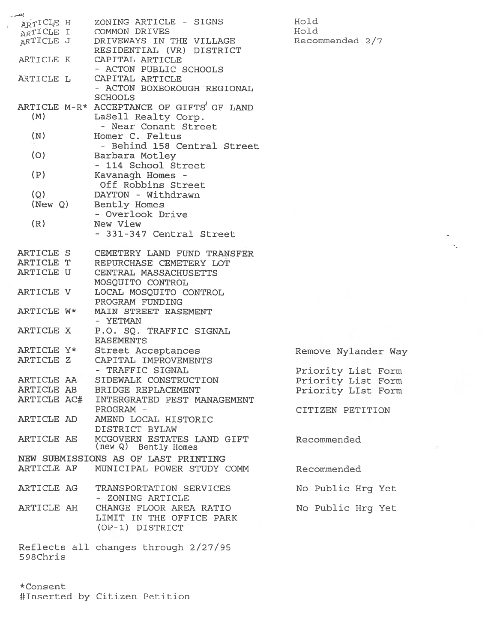| ARTICLE H               | ZONING ARTICLE - SIGNS                             | Hold                |
|-------------------------|----------------------------------------------------|---------------------|
| ARTICLE I               | COMMON DRIVES                                      | Hold                |
| ARTICLE J               | DRIVEWAYS IN THE VILLAGE                           | Recommended 2/7     |
|                         | RESIDENTIAL (VR) DISTRICT                          |                     |
| ARTICLE K               | CAPITAL ARTICLE                                    |                     |
|                         | - ACTON PUBLIC SCHOOLS                             |                     |
| ARTICLE L               | CAPITAL ARTICLE                                    |                     |
|                         | - ACTON BOXBOROUGH REGIONAL                        |                     |
|                         | <b>SCHOOLS</b>                                     |                     |
|                         | ARTICLE M-R* ACCEPTANCE OF GIFTS' OF LAND          |                     |
| (M)                     | LaSell Realty Corp.                                |                     |
|                         | - Near Conant Street                               |                     |
| (N)                     | Homer C. Feltus                                    |                     |
|                         | - Behind 158 Central Street                        |                     |
| (O)                     | Barbara Motley                                     |                     |
|                         | - 114 School Street                                |                     |
| (P)                     | Kavanagh Homes -                                   |                     |
|                         | Off Robbins Street                                 |                     |
| (Q)                     | DAYTON - Withdrawn                                 |                     |
| (New Q)                 | Bently Homes                                       |                     |
|                         | - Overlook Drive                                   |                     |
| (R)                     | New View                                           |                     |
|                         | - 331-347 Central Street                           |                     |
|                         |                                                    |                     |
| ARTICLE S<br>ARTICLE T  | CEMETERY LAND FUND TRANSFER                        |                     |
|                         | REPURCHASE CEMETERY LOT                            |                     |
| ARTICLE U               | CENTRAL MASSACHUSETTS                              |                     |
|                         | MOSQUITO CONTROL                                   |                     |
| ARTICLE V               | LOCAL MOSQUITO CONTROL                             |                     |
|                         | PROGRAM FUNDING                                    |                     |
| ARTICLE W*              | MAIN STREET EASEMENT                               |                     |
|                         | - YETMAN                                           |                     |
| ARTICLE X               | P.O. SQ. TRAFFIC SIGNAL                            |                     |
|                         | <b>EASEMENTS</b>                                   |                     |
| ARTICLE Y*<br>ARTICLE Z | Street Acceptances                                 | Remove Nylander Way |
|                         | CAPITAL IMPROVEMENTS                               |                     |
|                         | - TRAFFIC SIGNAL                                   | Priority List Form  |
| ARTICLE AA              | SIDEWALK CONSTRUCTION                              | Priority List Form  |
| ARTICLE AB              | BRIDGE REPLACEMENT                                 | Priority LIst Form  |
| ARTICLE AC#             | INTERGRATED PEST MANAGEMENT                        |                     |
|                         | PROGRAM -                                          | CITIZEN PETITION    |
| ARTICLE AD              | AMEND LOCAL HISTORIC                               |                     |
|                         | DISTRICT BYLAW                                     |                     |
| ARTICLE AE              | MCGOVERN ESTATES LAND GIFT<br>(new Q) Bently Homes | Recommended         |
|                         | NEW SUBMISSIONS AS OF LAST PRINTING                |                     |
|                         |                                                    |                     |
| ARTICLE AF              | MUNICIPAL POWER STUDY COMM                         | Recommended         |
|                         |                                                    |                     |
| ARTICLE AG              | TRANSPORTATION SERVICES                            | No Public Hrg Yet   |
|                         | - ZONING ARTICLE                                   |                     |
| ARTICLE AH              | CHANGE FLOOR AREA RATIO                            | No Public Hrg Yet   |
|                         | LIMIT IN THE OFFICE PARK                           |                     |
|                         | (OP-1) DISTRICT                                    |                     |
|                         |                                                    |                     |
|                         | Reflects all changes through 2/27/95               |                     |
| 598Chris                |                                                    |                     |

×.

\*Consent #Inserted by Citizen Petition

.<br>Car

 $\bar{z}$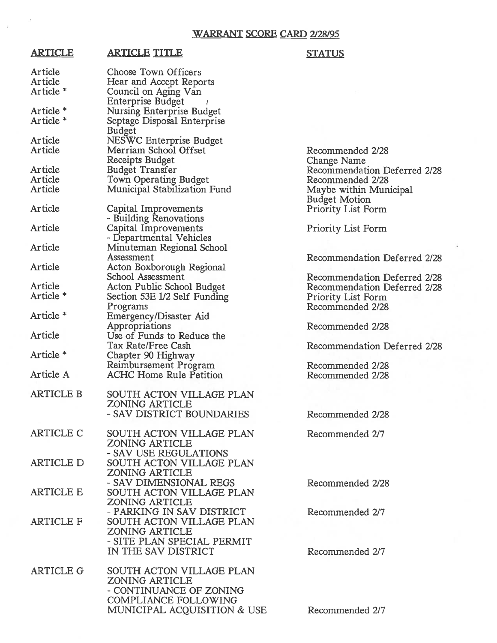## WARRANT SCORE CARD 2/28/95

## ARTICLE ARTICLE TITLE STATUS

| Article              | Choose Town Officers                              |                              |
|----------------------|---------------------------------------------------|------------------------------|
| Article              | Hear and Accept Reports                           |                              |
| Article *            | Council on Aging Van                              |                              |
|                      | <b>Enterprise Budget</b>                          |                              |
| Article *            | <b>Nursing Enterprise Budget</b>                  |                              |
| Article <sup>*</sup> | Septage Disposal Enterprise                       |                              |
|                      | <b>Budget</b>                                     |                              |
| <b>Article</b>       | NESWC Enterprise Budget                           |                              |
| Article              | Merriam School Offset                             | Recommended 2/28             |
|                      | Receipts Budget                                   | <b>Change Name</b>           |
| Article              | <b>Budget Transfer</b>                            | Recommendation Deferred 2/28 |
| Article              | Town Operating Budget                             | Recommended 2/28             |
| Article              | Municipal Stabilization Fund                      | Maybe within Municipal       |
|                      |                                                   | <b>Budget Motion</b>         |
| Article              | Capital Improvements                              | <b>Priority List Form</b>    |
|                      | - Building Renovations                            |                              |
| Article              | Capital Improvements                              | <b>Priority List Form</b>    |
|                      | - Departmental Vehicles                           |                              |
| Article              | Minuteman Regional School                         |                              |
|                      | Assessment                                        | Recommendation Deferred 2/28 |
| Article              | Acton Boxborough Regional                         |                              |
|                      | School Assessment                                 | Recommendation Deferred 2/28 |
| Article              | Acton Public School Budget                        | Recommendation Deferred 2/28 |
| Article <sup>*</sup> | Section 53E 1/2 Self Funding                      | Priority List Form           |
|                      | Programs                                          | Recommended 2/28             |
| Article <sup>*</sup> | Emergency/Disaster Aid                            |                              |
|                      | Appropriations                                    | Recommended 2/28             |
| Article              | Use of Funds to Reduce the                        |                              |
|                      | Tax Rate/Free Cash                                | Recommendation Deferred 2/28 |
| Article *            | Chapter 90 Highway                                |                              |
|                      | Reimbursement Program                             | Recommended 2/28             |
| Article A            | <b>ACHC Home Rule Petition</b>                    | Recommended 2/28             |
|                      |                                                   |                              |
| <b>ARTICLE B</b>     | SOUTH ACTON VILLAGE PLAN                          |                              |
|                      | <b>ZONING ARTICLE</b>                             |                              |
|                      | - SAV DISTRICT BOUNDARIES                         | Recommended 2/28             |
|                      |                                                   |                              |
| <b>ARTICLE C</b>     | SOUTH ACTON VILLAGE PLAN                          | Recommended 2/7              |
|                      | <b>ZONING ARTICLE</b>                             |                              |
|                      | - SAV USE REGULATIONS                             |                              |
| <b>ARTICLE D</b>     | SOUTH ACTON VILLAGE PLAN                          |                              |
|                      | <b>ZONING ARTICLE</b>                             |                              |
|                      | - SAV DIMENSIONAL REGS                            | Recommended 2/28             |
| <b>ARTICLE E</b>     | SOUTH ACTON VILLAGE PLAN                          |                              |
|                      | <b>ZONING ARTICLE</b>                             |                              |
|                      | - PARKING IN SAV DISTRICT                         | Recommended 2/7              |
| <b>ARTICLE F</b>     | SOUTH ACTON VILLAGE PLAN                          |                              |
|                      | <b>ZONING ARTICLE</b>                             |                              |
|                      |                                                   |                              |
|                      | - SITE PLAN SPECIAL PERMIT                        |                              |
|                      | IN THE SAV DISTRICT                               | Recommended 2/7              |
| <b>ARTICLE G</b>     |                                                   |                              |
|                      | SOUTH ACTON VILLAGE PLAN<br><b>ZONING ARTICLE</b> |                              |
|                      | - CONTINUANCE OF ZONING                           |                              |
|                      |                                                   |                              |
|                      | COMPLIANCE FOLLOWING                              |                              |
|                      | MUNICIPAL ACQUISITION & USE                       | Recommended 2/7              |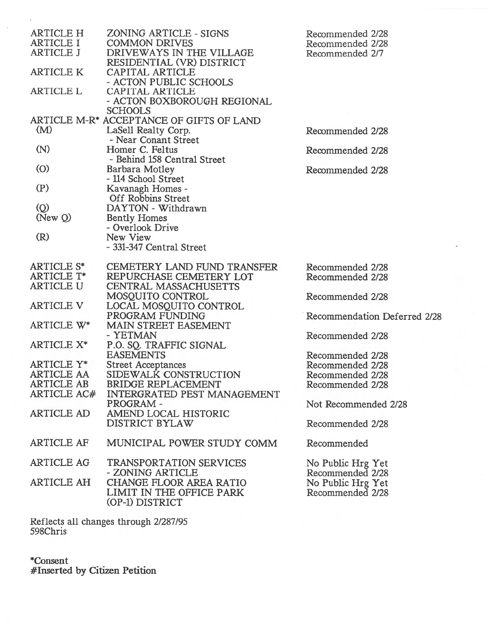| <b>ARTICLE H</b>   | ZONING ARTICLE - SIGNS                                | Recommended 2/28             |
|--------------------|-------------------------------------------------------|------------------------------|
| <b>ARTICLE I</b>   | <b>COMMON DRIVES</b>                                  | Recommended 2/28             |
| <b>ARTICLE J</b>   | DRIVEWAYS IN THE VILLAGE<br>RESIDENTIAL (VR) DISTRICT | Recommended 2/7              |
| <b>ARTICLE K</b>   | CAPITAL ARTICLE                                       |                              |
|                    | - ACTON PUBLIC SCHOOLS                                |                              |
| <b>ARTICLE L</b>   | CAPITAL ARTICLE                                       |                              |
|                    | - ACTON BOXBOROUGH REGIONAL                           |                              |
|                    | <b>SCHOOLS</b>                                        |                              |
|                    | ARTICLE M-R* ACCEPTANCE OF GIFTS OF LAND              |                              |
| (M)                | LaSell Realty Corp.                                   | Recommended 2/28             |
|                    | - Near Conant Street                                  |                              |
| (N)                | Homer C. Feltus                                       |                              |
|                    |                                                       | Recommended 2/28             |
|                    | - Behind 158 Central Street                           |                              |
| (O)                | Barbara Motley                                        | Recommended 2/28             |
|                    | - 114 School Street                                   |                              |
| (P)                | Kavanagh Homes -                                      |                              |
|                    | Off Robbins Street                                    |                              |
| $\circledcirc$     | DAYTON - Withdrawn                                    |                              |
| NewQ               | <b>Bently Homes</b>                                   |                              |
|                    | - Overlook Drive                                      |                              |
| (R)                | New View                                              |                              |
|                    |                                                       |                              |
|                    | - 331-347 Central Street                              |                              |
| <b>ARTICLE S*</b>  | <b>CEMETERY LAND FUND TRANSFER</b>                    | Recommended 2/28             |
| <b>ARTICLE T*</b>  | REPURCHASE CEMETERY LOT                               |                              |
|                    |                                                       | Recommended 2/28             |
| <b>ARTICLE U</b>   | <b>CENTRAL MASSACHUSETTS</b>                          |                              |
|                    | MOSQUITO CONTROL                                      | Recommended 2/28             |
| <b>ARTICLE V</b>   | LOCAL MOSQUITO CONTROL                                |                              |
|                    | PROGRAM FUNDING                                       | Recommendation Deferred 2/28 |
| ARTICLE W*         | MAIN STREET EASEMENT                                  |                              |
|                    | - YETMAN                                              | Recommended 2/28             |
| <b>ARTICLE X*</b>  | P.O. SQ. TRAFFIC SIGNAL                               |                              |
|                    | <b>EASEMENTS</b>                                      | Recommended 2/28             |
| ARTICLE Y*         | <b>Street Acceptances</b>                             | Recommended 2/28             |
| ARTICLE AA         | SIDEWALK CONSTRUCTION                                 |                              |
|                    |                                                       | Recommended 2/28             |
| <b>ARTICLE AB</b>  | <b>BRIDGE REPLACEMENT</b>                             | Recommended 2/28             |
| <b>ARTICLE AC#</b> | <b>INTERGRATED PEST MANAGEMENT</b>                    |                              |
|                    | PROGRAM -                                             | Not Recommended 2/28         |
| <b>ARTICLE AD</b>  | AMEND LOCAL HISTORIC                                  |                              |
|                    | <b>DISTRICT BYLAW</b>                                 | Recommended 2/28             |
|                    |                                                       |                              |
| <b>ARTICLE AF</b>  | MUNICIPAL POWER STUDY COMM                            | Recommended                  |
| <b>ARTICLE AG</b>  | <b>TRANSPORTATION SERVICES</b>                        |                              |
|                    |                                                       | No Public Hrg Yet            |
|                    | - ZONING ARTICLE                                      | Recommended 2/28             |
| <b>ARTICLE AH</b>  | <b>CHANGE FLOOR AREA RATIO</b>                        | No Public Hrg Yet            |
|                    | LIMIT IN THE OFFICE PARK                              | Recommended 2/28             |
|                    | (OP-1) DISTRICT                                       |                              |

Reflects all changes through 2/287/95 598Chris

\*Consent #Inserted by Citizen Petition

 $\tilde{v}$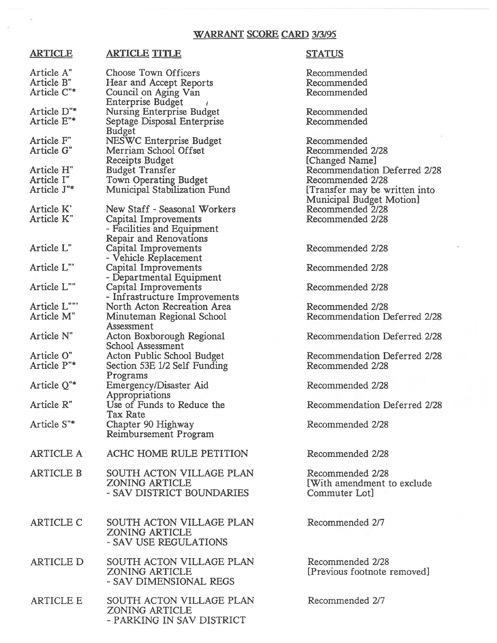# WARRANT SCORE CARD 3/3/95

# ARTICLE ARTICLE TITLE STATUS

| Article A"<br>Article B"<br>Article C"* | Choose Town Officers<br>Hear and Accept Reports<br>Council on Aging Van                                      | Recommended<br>Recommended<br>Recommended                        |
|-----------------------------------------|--------------------------------------------------------------------------------------------------------------|------------------------------------------------------------------|
| Article D"*<br>Article E"*              | <b>Enterprise Budget</b><br><b>Nursing Enterprise Budget</b><br>Septage Disposal Enterprise                  | Recommended<br>Recommended                                       |
|                                         | <b>Budget</b>                                                                                                |                                                                  |
| Article F"<br>Article G"                | <b>NESWC Enterprise Budget</b><br>Merriam School Offset<br>Receipts Budget                                   | Recommended<br>Recommended 2/28<br>[Changed Name]                |
| Article H"<br>Article I"                | <b>Budget Transfer</b>                                                                                       | Recommendation Deferred 2/28<br>Recommended 2/28                 |
| Article J"*                             | Town Operating Budget<br>Municipal Stabilization Fund                                                        | [Transfer may be written into<br>Municipal Budget Motion]        |
| Article K'<br>Article K"                | New Staff - Seasonal Workers<br>Capital Improvements<br>- Facilities and Equipment<br>Repair and Renovations | Recommended 2/28<br>Recommended 2/28                             |
| Article L"                              | Capital Improvements<br>- Vehicle Replacement                                                                | Recommended 2/28                                                 |
| Article L"                              | Capital Improvements<br>- Departmental Equipment                                                             | Recommended 2/28                                                 |
| Article L""                             | Capital Improvements<br>- Infrastructure Improvements                                                        | Recommended 2/28                                                 |
| Article L""                             | North Acton Recreation Area                                                                                  | Recommended 2/28                                                 |
| Article M"                              | Minuteman Regional School<br>Assessment                                                                      | Recommendation Deferred 2/28                                     |
| Article N"                              | Acton Boxborough Regional<br>School Assessment                                                               | Recommendation Deferred 2/28                                     |
| Article O"<br>Article P"*               | Acton Public School Budget<br>Section 53E 1/2 Self Funding<br>Programs                                       | Recommendation Deferred 2/28<br>Recommended 2/28                 |
| Article Q"*                             | Emergency/Disaster Aid<br>Appropriations                                                                     | Recommended 2/28                                                 |
| Article R"                              | Use of Funds to Reduce the<br>Tax Rate                                                                       | Recommendation Deferred 2/28                                     |
| Article S"*                             | Chapter 90 Highway<br>Reimbursement Program                                                                  | Recommended 2/28                                                 |
| <b>ARTICLE A</b>                        | ACHC HOME RULE PETITION                                                                                      | Recommended 2/28                                                 |
| <b>ARTICLE B</b>                        | SOUTH ACTON VILLAGE PLAN<br><b>ZONING ARTICLE</b><br>- SAV DISTRICT BOUNDARIES                               | Recommended 2/28<br>[With amendment to exclude]<br>Commuter Lot] |
| <b>ARTICLE C</b>                        | SOUTH ACTON VILLAGE PLAN<br><b>ZONING ARTICLE</b><br>- SAV USE REGULATIONS                                   | Recommended 2/7                                                  |
| <b>ARTICLE D</b>                        | SOUTH ACTON VILLAGE PLAN<br><b>ZONING ARTICLE</b><br>- SAV DIMENSIONAL REGS                                  | Recommended 2/28<br>[Previous footnote removed]                  |
| <b>ARTICLE E</b>                        | SOUTH ACTON VILLAGE PLAN<br><b>ZONING ARTICLE</b><br>- PARKING IN SAV DISTRICT                               | Recommended 2/7                                                  |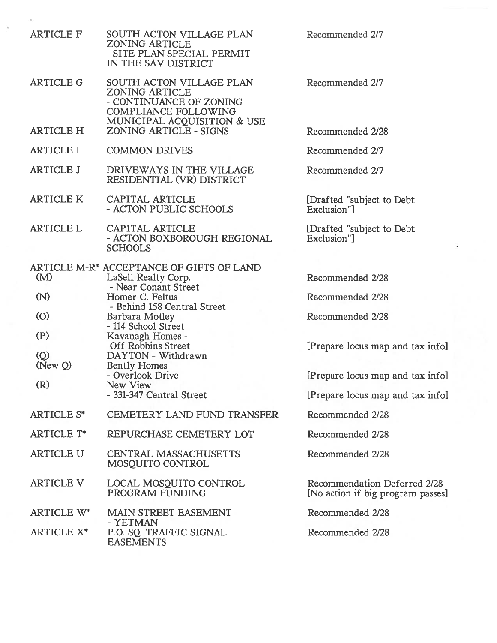| <b>ARTICLE F</b>       | SOUTH ACTON VILLAGE PLAN<br><b>ZONING ARTICLE</b><br>- SITE PLAN SPECIAL PERMIT<br>IN THE SAV DISTRICT                              | Recommended 2/7                                                   |
|------------------------|-------------------------------------------------------------------------------------------------------------------------------------|-------------------------------------------------------------------|
| <b>ARTICLE G</b>       | SOUTH ACTON VILLAGE PLAN<br><b>ZONING ARTICLE</b><br>- CONTINUANCE OF ZONING<br>COMPLIANCE FOLLOWING<br>MUNICIPAL ACQUISITION & USE | Recommended 2/7                                                   |
| <b>ARTICLE H</b>       | ZONING ARTICLE - SIGNS                                                                                                              | Recommended 2/28                                                  |
| <b>ARTICLE I</b>       | <b>COMMON DRIVES</b>                                                                                                                | Recommended 2/7                                                   |
| <b>ARTICLE J</b>       | DRIVEWAYS IN THE VILLAGE<br>RESIDENTIAL (VR) DISTRICT                                                                               | Recommended 2/7                                                   |
| <b>ARTICLE K</b>       | CAPITAL ARTICLE<br>- ACTON PUBLIC SCHOOLS                                                                                           | [Drafted "subject to Debt<br>Exclusion"]                          |
| <b>ARTICLE L</b>       | CAPITAL ARTICLE<br>- ACTON BOXBOROUGH REGIONAL<br><b>SCHOOLS</b>                                                                    | [Drafted "subject to Debt<br>Exclusion"]                          |
| (M)                    | ARTICLE M-R <sup>*</sup> ACCEPTANCE OF GIFTS OF LAND<br>LaSell Realty Corp.                                                         | Recommended 2/28                                                  |
| (N)                    | - Near Conant Street<br>Homer C. Feltus                                                                                             | Recommended 2/28                                                  |
| $\circ$                | - Behind 158 Central Street<br>Barbara Motley<br>- 114 School Street                                                                | Recommended 2/28                                                  |
| (P)<br>$\circledcirc$  | Kavanagh Homes -<br><b>Off Robbins Street</b><br>DAYTON - Withdrawn                                                                 | [Prepare locus map and tax info]                                  |
| New Q)                 | <b>Bently Homes</b><br>- Overlook Drive                                                                                             | [Prepare locus map and tax info]                                  |
| (R)                    | New View<br>- 331-347 Central Street                                                                                                | [Prepare locus map and tax info]                                  |
| <b>ARTICLE S*</b>      | <b>CEMETERY LAND FUND TRANSFER</b>                                                                                                  | Recommended 2/28                                                  |
| <b>ARTICLE T*</b>      | REPURCHASE CEMETERY LOT                                                                                                             | Recommended 2/28                                                  |
| <b>ARTICLE U</b>       | <b>CENTRAL MASSACHUSETTS</b><br>MOSOUITO CONTROL                                                                                    | Recommended 2/28                                                  |
| <b>ARTICLE V</b>       | LOCAL MOSQUITO CONTROL<br>PROGRAM FUNDING                                                                                           | Recommendation Deferred 2/28<br>[No action if big program passes] |
| ARTICLE W*             | MAIN STREET EASEMENT<br>- YETMAN                                                                                                    | Recommended 2/28                                                  |
| ARTICLE X <sup>*</sup> | P.O. SQ. TRAFFIC SIGNAL<br><b>EASEMENTS</b>                                                                                         | Recommended 2/28                                                  |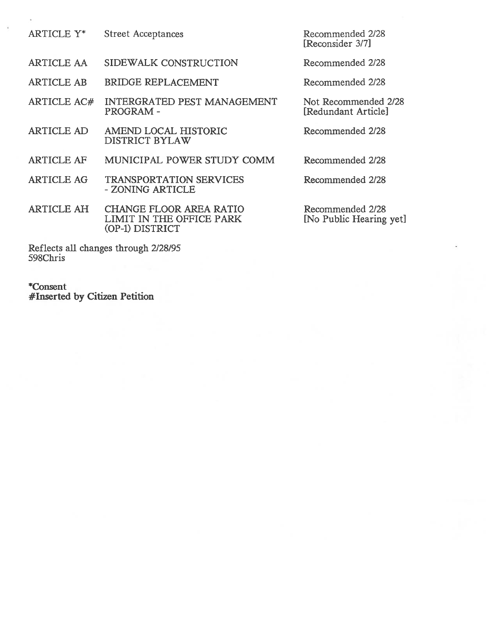| ARTICLE Y*         | <b>Street Acceptances</b>                                                     | Recommended 2/28<br>[Reconsider 3/7]        |
|--------------------|-------------------------------------------------------------------------------|---------------------------------------------|
| <b>ARTICLE AA</b>  | SIDEWALK CONSTRUCTION                                                         | Recommended 2/28                            |
| <b>ARTICLE AB</b>  | <b>BRIDGE REPLACEMENT</b>                                                     | Recommended 2/28                            |
| <b>ARTICLE AC#</b> | <b>INTERGRATED PEST MANAGEMENT</b><br><b>PROGRAM-</b>                         | Not Recommended 2/28<br>[Redundant Article] |
| <b>ARTICLE AD</b>  | AMEND LOCAL HISTORIC<br><b>DISTRICT BYLAW</b>                                 | Recommended 2/28                            |
| <b>ARTICLE AF</b>  | MUNICIPAL POWER STUDY COMM                                                    | Recommended 2/28                            |
| <b>ARTICLE AG</b>  | <b>TRANSPORTATION SERVICES</b><br>- ZONING ARTICLE                            | Recommended 2/28                            |
| <b>ARTICLE AH</b>  | <b>CHANGE FLOOR AREA RATIO</b><br>LIMIT IN THE OFFICE PARK<br>(OP-1) DISTRICT | Recommended 2/28<br>[No Public Hearing yet] |

Reflects all changes through 2/28/95 S98Chris

\*Consent #Inserted by Citizen Petition